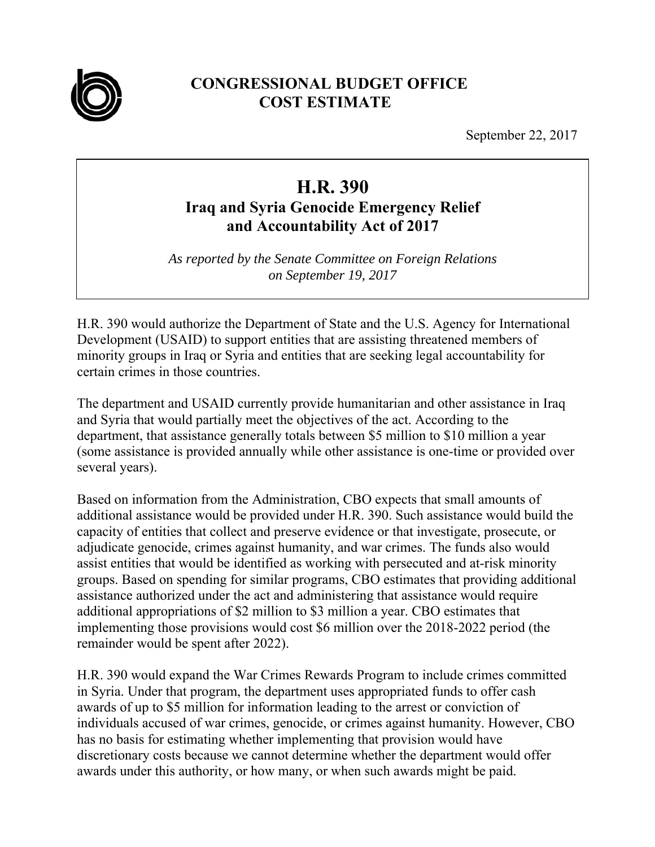

## **CONGRESSIONAL BUDGET OFFICE COST ESTIMATE**

September 22, 2017

## **H.R. 390**

## **Iraq and Syria Genocide Emergency Relief and Accountability Act of 2017**

*As reported by the Senate Committee on Foreign Relations on September 19, 2017* 

H.R. 390 would authorize the Department of State and the U.S. Agency for International Development (USAID) to support entities that are assisting threatened members of minority groups in Iraq or Syria and entities that are seeking legal accountability for certain crimes in those countries.

The department and USAID currently provide humanitarian and other assistance in Iraq and Syria that would partially meet the objectives of the act. According to the department, that assistance generally totals between \$5 million to \$10 million a year (some assistance is provided annually while other assistance is one-time or provided over several years).

Based on information from the Administration, CBO expects that small amounts of additional assistance would be provided under H.R. 390. Such assistance would build the capacity of entities that collect and preserve evidence or that investigate, prosecute, or adjudicate genocide, crimes against humanity, and war crimes. The funds also would assist entities that would be identified as working with persecuted and at-risk minority groups. Based on spending for similar programs, CBO estimates that providing additional assistance authorized under the act and administering that assistance would require additional appropriations of \$2 million to \$3 million a year. CBO estimates that implementing those provisions would cost \$6 million over the 2018-2022 period (the remainder would be spent after 2022).

H.R. 390 would expand the War Crimes Rewards Program to include crimes committed in Syria. Under that program, the department uses appropriated funds to offer cash awards of up to \$5 million for information leading to the arrest or conviction of individuals accused of war crimes, genocide, or crimes against humanity. However, CBO has no basis for estimating whether implementing that provision would have discretionary costs because we cannot determine whether the department would offer awards under this authority, or how many, or when such awards might be paid.